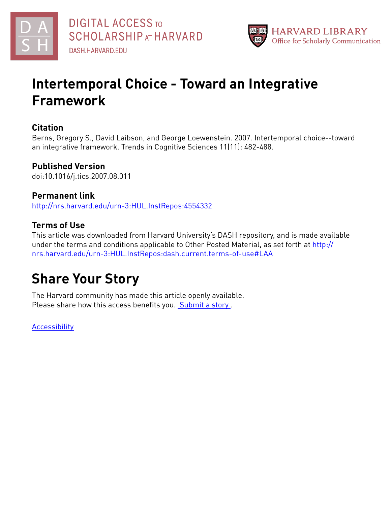



# **Intertemporal Choice - Toward an Integrative Framework**

# **Citation**

Berns, Gregory S., David Laibson, and George Loewenstein. 2007. Intertemporal choice--toward an integrative framework. Trends in Cognitive Sciences 11(11): 482-488.

# **Published Version**

doi:10.1016/j.tics.2007.08.011

# **Permanent link**

<http://nrs.harvard.edu/urn-3:HUL.InstRepos:4554332>

# **Terms of Use**

This article was downloaded from Harvard University's DASH repository, and is made available under the terms and conditions applicable to Other Posted Material, as set forth at [http://](http://nrs.harvard.edu/urn-3:HUL.InstRepos:dash.current.terms-of-use#LAA) [nrs.harvard.edu/urn-3:HUL.InstRepos:dash.current.terms-of-use#LAA](http://nrs.harvard.edu/urn-3:HUL.InstRepos:dash.current.terms-of-use#LAA)

# **Share Your Story**

The Harvard community has made this article openly available. Please share how this access benefits you. [Submit](http://osc.hul.harvard.edu/dash/open-access-feedback?handle=&title=Intertemporal%20Choice%20-%20Toward%20an%20Integrative%20Framework&community=1/1&collection=1/2&owningCollection1/2&harvardAuthors=b7f140e3e9f79a9e7bcda68731ee625f&departmentEconomics) a story.

**[Accessibility](https://dash.harvard.edu/pages/accessibility)**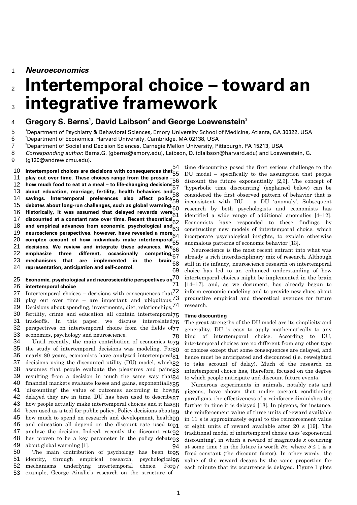1 *Neuroeconomics* 

## 2 3 **Intertemporal choice – toward an integrative framework**

#### 4  $\mathbf{G}$ regory S. Berns<sup>1</sup>, David Laibson $^{\mathsf{2}}$  and George Loewenstein $^{\mathsf{3}}$

5 <sup>1</sup>Department of Psychiatry & Behavioral Sciences, Emory University School of Medicine, Atlanta, GA 30322, USA<br><sup>2</sup>Department of Esseemics, Harvard University, Cambridge, MA 03138, USA

6 <sup>2</sup>Department of Economics, Harvard University, Cambridge, MA 02138, USA

7 <sup>3</sup>Department of Social and Decision Sciences, Carnegie Mellon University, Pittsburgh, PA 15213, USA

8 9 *Corresponding author*: Berns,G. (gberns@emory.edu), Laibson, D. (dlaibson@harvard.edu) and Loewenstein, G. (g120@andrew.cmu.edu).

10 11 12 13 14 15 16 17 18 19 20 21 22 23 24 54 **Intertemporal choices are decisions with consequences that**  69 **play out over time. These choices range from the prosaic –**  55 **how much food to eat at a meal – to life-changing decisions**  57 **about education, marriage, fertility, health behaviors and <sup>1</sup>/<sub>58</sub> savings. Intertemporal preferences also affect policy**  58 **debates about long-run challenges, such as global warming. Historically, it was assumed that delayed rewards were**  60 **discounted at a constant rate over time. Recent theoretical**  62 and empirical advances from economic, psychological and<sub>63</sub> and empirical advances from economic, psychological and<sub>63</sub><br>neuroscience perspectives, however, have revealed a more<sub>c 4</sub> ried oscience perspectives, nowever, nave revealed a more  $64 \over 64$ **decisions. We review and integrate these advances. We**  66 emphasize three different, occasionally mechanisms that are implemented in **representation, anticipation and self-control.**  56 59 61 65 competing $\tilde{67}$ the brain: $\frac{8}{68}$ 

#### 25 26 71 **Economic, psychological and neuroscientific perspectives on**  70 **intertemporal choice**

27 28 29 30 31 32 33 78 Intertemporal choices – decisions with consequences that  $\frac{72}{ }$ play out over time – are important and ubiquitous.<sup>73</sup> Decisions about spending, investments, diet, relationships, 74 fertility, crime and education all contain intertemporal<sub>75</sub> tradeoffs. In this paper, we discuss interrelated<sub>76</sub> perspectives on intertemporal choice from the fields of 77 economics, psychology and neuroscience.

34 35 36 37 38 39 40 41 42 43 44 45 46 47 48 49 94 Until recently, the main contribution of economics to 79 the study of intertemporal decisions was modeling. For 80 nearly 80 years, economists have analyzed intertemporal 81 decisions using the discounted utility (DU) model, which 82 assumes that people evaluate the pleasures and pains<sup>83</sup> resulting from a decision in much the same way that 84 financial markets evaluate losses and gains, exponentially $85$ 'discounting' the value of outcomes according to how 86 delayed they are in time. DU has been used to describe<sub>87</sub> how people actually make intertemporal choices and it has  $98$ been used as a tool for public policy. Policy decisions about $\mathsf{g}\mathsf{g}$ how much to spend on research and development, healthgo and education all depend on the discount rate used to 91 analyze the decision. Indeed, recently the discount rateg2 has proven to be a key parameter in the policy debateg3 about global warming [1].

50 51 52 53 The main contribution of psychology has been to 95 identify, through empirical research, mechanisms underlying intertemporal choice. example, George Ainslie's research on the structure of psychologicalge For97

time discounting posed the first serious challenge to the DU model – specifically to the assumption that people discount the future exponentially [2,3]. The concept of 'hyperbolic time discounting' (explained below) can be considered the first observed pattern of behavior that is inconsistent with DU – a DU 'anomaly'. Subsequent research by both psychologists and economists has identified a wide range of additional anomalies [4–12]. Economists have responded to these findings by constructing new models of intertemporal choice, which incorporate psychological insights, to explain otherwise anomalous patterns of economic behavior [13].

Neuroscience is the most recent entrant into what was already a rich interdisciplinary mix of research. Although still in its infancy, neuroscience research on intertemporal choice has led to an enhanced understanding of how intertemporal choices might be implemented in the brain [14–17], and, as we document, has already begun to inform economic modeling and to provide new clues about productive empirical and theoretical avenues for future research.

## **Time discounting**

The great strengths of the DU model are its simplicity and generality. DU is easy to apply mathematically to any kind of intertemporal choice. According to DU, intertemporal choices are no different from any other type of choices except that some consequences are delayed, and hence must be anticipated and discounted (i.e. reweighted to take account of delay). Much of the research on intertemporal choice has, therefore, focused on the degree to which people anticipate and discount future events.

Numerous experiments in animals, notably rats and pigeons, have shown that under operant conditioning paradigms, the effectiveness of a reinforcer diminishes the further in time it is delayed [18]. In pigeons, for instance, the reinforcement value of three units of reward available in 11 s is approximately equal to the reinforcement value of eight units of reward available after 20 s [19]. The traditional model of intertemporal choice uses 'exponential discounting', in which a reward of magnitude *x* occurring at some time *t* in the future is worth  $\partial x$ , where  $\delta \leq 1$  is a fixed constant (the discount factor). In other words, the value of the reward decays by the same proportion for each minute that its occurrence is delayed. Figure 1 plots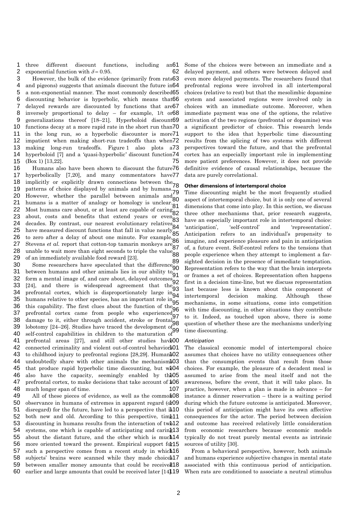1 three different discount functions, including an61 exponential function with  $\delta = 0.95$ . 2 62

3 4 5 6 7 8 9 10 11 12 13 14 15 75 However, the bulk of the evidence (primarily from rats63 and pigeons) suggests that animals discount the future in 64 a non-exponential manner. The most commonly described 65 discounting behavior is hyperbolic, which means that 66 delayed rewards are discounted by functions that are 67 inversely proportional to delay  $-$  for example,  $1/t$  or  $68$ generalizations thereof [18-21]. Hyperboloid discount 69 functions decay at a more rapid rate in the short run than<sup>70</sup> in the long run, so a hyperbolic discounter is more 71 impatient when making short-run tradeoffs than when72 making long-run tradeoffs. Figure 1 also plots a73 hyperboloid [7] and a 'quasi-hyperbolic' discount function 74 (Box 1) [13,22].

16 17 18 19 20 21 22 23 24 25 26 27 28 29 Humans also have been shown to discount the future76 hyperbolically [7,20], and many commentators have 77 implicitly or explicitly drawn connections between the  $78$ patterns of choice displayed by animals and by humans. However, whether the parallel between animals and  $\frac{180}{80}$ humans is a matter of analogy or homology is unclear. Most humans care about, or at least are capable of caring  $\frac{81}{100}$ about, costs and benefits that extend years or even- $\alpha$  decades. By contrast, our nearest evolutionary relatives  $\alpha_4$ have measured discount functions that fall in value nearly 85 to zero after a delay of about one minute. For example, one Stevens *et al.* report that cotton-top tamarin monkeys are  $\frac{86}{27}$ blevens *et al.* Teport that collon-top tamal in moneys are  $87$  unable to wait more than eight seconds to triple the value  $\frac{87}{100}$ of an immediately available food reward [23]. 79 84 88

30 31 32 33 34 35 36 37 38 39 40 41 prefrontal areas [27], and still other studies hav<sup>4</sup>00 42 connected criminality and violent out-of-control behavior\$01 43 to childhood injury to prefrontal regions [28,29]. Human\$02 44 undoubtedly share with other animals the mechanism\$03 45 that produce rapid hyperbolic time discounting, but w<sup>1</sup>04 46 also have the capacity, seemingly enabled by th<sup>205</sup> 47 prefrontal cortex, to make decisions that take account of  $*06$ 48 107  $\frac{120}{100}$ . Some researchers have speculated that the difference  $\frac{89}{100}$ between humans and other animals lies in our ability to 91 form a mental image of, and care about, delayed outcomes.  $[24]$ , and there is widespread agreement that the  $\frac{1}{2}$ prefrontal cortex, which is disproportionately large  $\text{in}_{\text{O4}}$ humans relative to other species, has an important role in $_{\text{Of}}$ this capability. The first clues about the function of the  $^{95}$ prefrontal cortex came from people who experienced $\sigma$ damage to it, either through accident, stroke or frontal lobotomy  $[24-26]$ . Studies have traced the development of  $\alpha$ self-control capabilities in children to the maturation of much longer span of time. 90 99

49 All of these pieces of evidence, as well as the common 08 50 observance in humans of extremes in apparent regard (of 09 51 disregard) for the future, have led to a perspective that it 10 52 both new and old. According to this perspective, time11 53 discounting in humans results from the interaction of  $tw\delta$ 12 54 systems, one which is capable of anticipating and caring13 55 about the distant future, and the other which is much 14 56 more oriented toward the present. Empirical support for 15 57 such a perspective comes from a recent study in which16 58 subjects' brains were scanned while they made choice\$17 59 between smaller money amounts that could be received 18 60 earlier and large amounts that could be received later [14].19

Some of the choices were between an immediate and a delayed payment, and others were between delayed and even more delayed payments. The researchers found that prefrontal regions were involved in all intertemporal choices (relative to rest) but that the mesolimbic dopamine system and associated regions were involved only in choices with an immediate outcome. Moreover, when immediate payment was one of the options, the relative activation of the two regions (prefrontal or dopamine) was a significant predictor of choice. This research lends support to the idea that hyperbolic time discounting results from the splicing of two systems with different perspectives toward the future, and that the prefrontal cortex has an especially important role in implementing more patient preferences. However, it does not provide definitive evidence of causal relationships, because the data are purely correlational.

## **Other dimensions of intertemporal choice**

Time discounting might be the most frequently studied aspect of intertemporal choice, but it is only one of several dimensions that come into play. In this section, we discuss three other mechanisms that, prior research suggests, have an especially important role in intertemporal choice: 'anticipation', 'self-control' and 'representation'. Anticipation refers to an individual's propensity to imagine, and experience pleasure and pain in anticipation of, a future event. Self-control refers to the tensions that people experience when they attempt to implement a farsighted decision in the presence of immediate temptation. Representation refers to the way that the brain interprets or frames a set of choices. Representation often happens first in a decision time-line, but we discuss representation last because less is known about this component of intertemporal decision making. Although these mechanisms, in some situations, come into competition with time discounting, in other situations they contribute to it. Indeed, as touched upon above, there is some question of whether these are the mechanisms underlying time discounting.

### *Anticipation*

The classical economic model of intertemporal choice assumes that choices have no utility consequences other than the consumption events that result from those choices. For example, the pleasure of a decadent meal is assumed to arise from the meal itself and not the awareness, before the event, that it will take place. In practice, however, when a plan is made in advance – for instance a dinner reservation – there is a waiting period during which the future outcome is anticipated. Moreover, this period of anticipation might have its own affective consequences for the actor. The period between decision and outcome has received relatively little consideration from economic researchers because economic models typically do not treat purely mental events as intrinsic sources of utility [30].

From a behavioral perspective, however, both animals and humans experience subjective changes in mental state associated with this continuous period of anticipation. When rats are conditioned to associate a neutral stimulus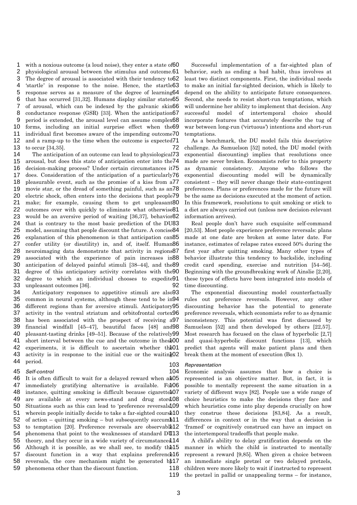with a noxious outcome (a loud noise), they enter a state of 60 physiological arousal between the stimulus and outcome.61 The degree of arousal is associated with their tendency to 62 'startle' in response to the noise. Hence, the startle<sup>63</sup> response serves as a measure of the degree of learning 64 that has occurred [31,32]. Humans display similar states65 1 2 3 4 5 6 7 8 9 10 11 12 13 72 of arousal, which can be indexed by the galvanic skin66 conductance response (GSR) [33]. When the anticipation 67 period is extended, the arousal level can assume complex68 forms, including an initial surprise effect when the 69 individual first becomes aware of the impending outcome70 and a ramp-up to the time when the outcome is expected 71 to occur [34,35].

14 15 16 17 18 19 20 21 22 23 24 25 26 27 28 29 30 31 32 33 92 The anticipation of an outcome can lead to physiological<sup>73</sup> arousal, but does this state of anticipation enter into the 74 decision-making process? Under certain circumstances it 75 does. Consideration of the anticipation of a particularly 76 pleasurable event, such as the promise of a kiss from a77 movie star, or the dread of something painful, such as an78 electric shock, often enters into the decisions that people79 make; for example, causing them to get unpleasant 80 outcomes over with quickly to eliminate what otherwise81 would be an aversive period of waiting [36,37], behavior 82 that is contrary to the most basic prediction of the DU83 model, assuming that people discount the future. A concise 84 explanation of this phenomenon is that anticipation can 85 confer utility (or disutility) in, and of, itself. Human 86 neuroimaging data demonstrate that activity in regions87 associated with the experience of pain increases in 88 anticipation of delayed painful stimuli [38-44], and the 89 degree of this anticipatory activity correlates with the 90 degree to which an individual chooses to expedite91 unpleasant outcomes [36].

34 35 36 37 38 39 40 41 short interval between the cue and the outcome in thes<sup>\$00</sup> 42 experiments, it is difficult to ascertain whether the 01 43 activity is in response to the initial cue or the waitin  $22$ 44 103 Anticipatory responses to appetitive stimuli are also 93 common in neural systems, although these tend to be in 94 different regions than for aversive stimuli. Anticipatory 95 activity in the ventral striatum and orbitofrontal cortex96 has been associated with the prospect of receiving a 97 financial windfall [45–47], beautiful faces [48] and 98 pleasant-tasting drinks [49-51]. Because of the relatively 99 period.

#### 45 *Self-control*

104

46 It is often difficult to wait for a delayed reward when a 105 47 immediately gratifying alternative is available. For06 48 instance, quitting smoking is difficult because cigarette<sup>\$07</sup> 49 50 51 wherein people initially decide to take a far-sighted cours<sup>\$10</sup> 52 of action – quitting smoking – but subsequently succum $\frac{11}{1}$ 53 to temptation [20]. Preference reversals are observable<sup>12</sup> 54 55 theory, and they occur in a wide variety of circumstances.14 56 Although it is possible, as we shall see, to modify the 15 57 discount function in a way that explains preference<sup>16</sup> 58 reversals, the core mechanism might be generated  $b\frac{1}{2}$ 59 118 119 are available at every news-stand and drug stord.08 Situations such as this can lead to 'preference reversals', 109 phenomena that point to the weaknesses of standard DU13 phenomena other than the discount function.

Successful implementation of a far-sighted plan of behavior, such as ending a bad habit, thus involves at least two distinct components. First, the individual needs to make an initial far-sighted decision, which is likely to depend on the ability to anticipate future consequences. Second, she needs to resist short-run temptations, which will undermine her ability to implement that decision. Any successful model of intertemporal choice should incorporate features that accurately describe the tug of war between long-run ('virtuous') intentions and short-run temptations.

As a benchmark, the DU model fails this descriptive challenge. As Samuelson [52] noted, the DU model (with exponential discounting) implies that resolutions once made are never broken. Economists refer to this property as dynamic consistency. Anyone who follows the exponential discounting model will be dynamically consistent – they will never change their state-contingent preferences. Plans or preferences made for the future will be the same as decisions executed at the moment of action. In this framework, resolutions to quit smoking or stick to a diet are always carried out (unless new decision-relevant information arrives).

Real people don't have such exquisite self-command [20,53]. Most people experience preference reversals: plans made at one date are broken at some later date. For instance, estimates of relapse rates exceed 50% during the first year after quitting smoking. Many other types of behavior illustrate this tendency to backslide, including credit card spending, exercise and nutrition [54–56]. Beginning with the groundbreaking work of Ainslie [2,20], these types of effects have been integrated into models of time discounting.

The exponential discounting model counterfactually rules out preference reversals. However, any other discounting behavior has the potential to generate preference reversals, which economists refer to as dynamic inconsistency. This potential was first discussed by Samuelson [52] and then developed by others [22,57]. Most research has focused on the class of hyperbolic [2,7] and quasi-hyperbolic discount functions [13], which predict that agents will make patient plans and then break them at the moment of execution (Box 1).

## *Representation*

Economic analysis assumes that how a choice is represented is an objective matter. But, in fact, it is possible to mentally represent the same situation in a variety of different ways [82]. People use a wide range of choice heuristics to make the decisions they face and which heuristics come into play depends crucially on how they construe these decisions [83,84]. As a result, differences in context or in the way that a decision is 'framed' or cognitively construed can have an impact on the intertemporal tradeoffs that people make.

A child's ability to delay gratification depends on the manner in which the child is instructed to mentally represent a reward [9,85]. When given a choice between an immediate single pretzel or two delayed pretzels, children were more likely to wait if instructed to represent the pretzel in pallid or unappealing terms – for instance,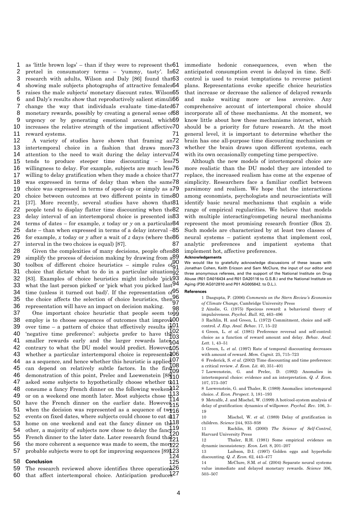as 'little brown logs' – than if they were to represent the 61 pretzel in consumatory terms - 'yummy, tasty'. In 62 research with adults, Wilson and Daly [86] found that 63 1 2 3  $\overline{A}$ 5 6 7 8 9 10 11 71 showing male subjects photographs of attractive females 64 raises the male subjects' monetary discount rates. Wilson 65 and Daly's results show that reproductively salient stimuli66 change the way that individuals evaluate time-dated 67 monetary rewards, possibly by creating a general sense of 68 urgency or by generating emotional arousal, which 69 increases the relative strength of the impatient affective 70 reward systems.

12 13 14 15 16 17 18 19 20 21 22 23 24 25 26 27 87 A variety of studies have shown that framing an72 intertemporal choice in a fashion that draws more73 attention to the need to wait during the delay interval<sup>74</sup> tends to produce steeper time discounting - less75 willingness to delay. For example, subjects are much less76 willing to delay gratification when they made a choice that 77 was expressed in terms of delay than when the same 78 choice was expressed in terms of speed-up or simply as a79 choice between outcomes at two different points in time 80 [37]. More recently, several studies have shown that 81 people tend to display flatter time discounting when the 82 delay interval of an intertemporal choice is presented in 83 terms of dates – for example, *x* today or *y* on a particular 84 date – than when expressed in terms of a delay interval -85 for example,  $x$  today or  $y$  after a wait of  $z$  days (where the  $86$ interval in the two choices is equal) [87].

28 29 30 31 32 33 34 35 36 Given the complexities of many decisions, people often 88 simplify the process of decision making by drawing from  $a_{20}^{89}$ toolbox of different choice heuristics – simple rules  $\sigma_{\mathbf{Q}_1}^{0}$ choice that dictate what to do in a particular situation 92 [83]. Examples of choice heuristics might include 'pick 93 what the last person picked' or 'pick what you picked last<sup>94</sup> time (unless it turned out bad)'. If the representation of  $95$ the choice affects the selection of choice heuristics, then  $96$ representation will have an impact on decision making. 91 97 **98** 

37 38 employ is to choose sequences of outcomes that improv<sup>400</sup> 39 over time – a pattern of choice that effectively results  $i\frac{1}{2}$ 40 'negative time preference': subjects prefer to have the  $^{102}_{62}$ 41 smaller rewards early and the larger rewards later $\frac{100}{104}$ 42 contrary to what the DU model would predict. However, 05 43 whether a particular intertemporal choice is represented 06 44  $45$  can depend on relatively subtle factors. In the first<sub>00</sub>  $108$ 46 demonstration of this point, Prelec and Loewenstein  $[88]$ <sup>1</sup>0 47 48 consume a fancy French dinner on the following weekend<sup>12</sup> 49 or on a weekend one month later. Most subjects chose  $\frac{1}{2}$  $50$  have the French dinner on the earlier date. However  $15$ 51 when the decision was represented as a sequence of two  $16$ 52 53 home on one weekend and eat the fancy dinner on  $th<sup>18</sup>$  $54$  other, a majority of subjects now chose to delay the fancy  $^{119}_{20}$ 55 French dinner to the later date. Later research found that  $21$ 56 the more coherent a sequence was made to seem, the more 22 57 probable subjects were to opt for improving sequences [89].23 124 One important choice heuristic that people seem to 99 as a sequence, and hence whether this heuristic is applied  $07<sub>0</sub>$ asked some subjects to hypothetically choose whether to 11 events on fixed dates, where subjects could choose to eat at 17 103 ্†09  $114$ 120

#### 58 **Conclusion**

59 The research reviewed above identifies three operation\$26 60 that affect intertemporal choice. Anticipation produce 327

immediate hedonic consequences, even when the anticipated consumption event is delayed in time. Selfcontrol is used to resist temptations to reverse patient plans. Representations evoke specific choice heuristics that increase or decrease the salience of delayed rewards and make waiting more or less aversive. Any comprehensive account of intertemporal choice should incorporate all of these mechanisms. At the moment, we know little about how these mechanisms interact, which should be a priority for future research. At the most general level, it is important to determine whether the brain has one all-purpose time discounting mechanism or whether the brain draws upon different systems, each with its own occasionally competing time perspective.

Although the new models of intertemporal choice are more realistic than the DU model they are intended to replace, the increased realism has come at the expense of simplicity. Researchers face a familiar conflict between parsimony and realism. We hope that the interactions among economists, psychologists and neuroscientists will identify basic neural mechanisms that explain a wide range of empirical regularities. We believe that models with multiple interacting/competing neural mechanisms represent the most promising research frontier (Box 2). Such models are characterized by at least two classes of neural systems – patient systems that implement cool, analytic preferences and impatient systems that implement hot, affective preferences.

## **Acknowledgements**

We would like to gratefully acknowledge discussions of these issues with Jonathan Cohen, Keith Ericson and Sam McClure, the input of our editor and three anonymous referees, and the support of the National Institute on Drug Abuse (R01 DA016434 and R01 DA20116 to G.S.B.) and the National Institute on Aging (P30 AG012810 and P01 AG005842. to D.L.).

### **References**

1 Dasgupta, P. (2006) *Comments on the Stern Review's Economics of Climate Change*, Cambridge University Press

2 Ainslie, G. (1975) Specious reward: a behavioral theory of impulsiveness. *Psychol. Bull.* 82, 463–496

3 Rachlin, H. and Green, L. (1972) Commitment, choice and selfcontrol. *J. Exp. Anal. Behav.* 17, 15–22

4 Green, L. *et al.* (1981) Preference reversal and self-control: choice as a function of reward amount and delay. *Behav. Anal. Lett.* 1, 43–51

5 Green, L. *et al.* (1997) Rate of temporal discounting decreases with amount of reward. *Mem. Cognit.* 25, 715–723

6 Frederick, S. *et al.* (2002) Time discounting and time preference: a critical review. *J. Econ. Lit.* 40, 351–401

7 Loewenstein, G. and Prelec, D. (1992) Anomalies in intertemporal choice: evidence and an interpretation. *Q. J. Econ.* 107, 573–597

8 Loewenstein, G. and Thaler, R. (1989) Anomalies: intertemporal choice. *J. Econ. Perspect.* 3, 181–193

9 Metcalfe, J. and Mischel, W. (1999) A hot/cool-system analysis of delay of gratification: dynamics of willpower. *Psychol. Rev.* 106, 3– 19

10 Mischel, W. *et al.* (1989) Delay of gratification in children. *Science* 244, 933–938

11 Rachlin, H. (2000) *The Science of Self-Control*, Harvard University Press

12 Thaler, R.H. (1981) Some empirical evidence on dynamic inconsistency. *Econ. Lett.* 8, 201–207

13 Laibson, D.I. (1997) Golden eggs and hyperbolic discounting. *Q. J. Econ.* 62, 443–477

14 McClure, S.M. *et al.* (2004) Separate neural systems value immediate and delayed monetary rewards. *Science* 306, 503–507

125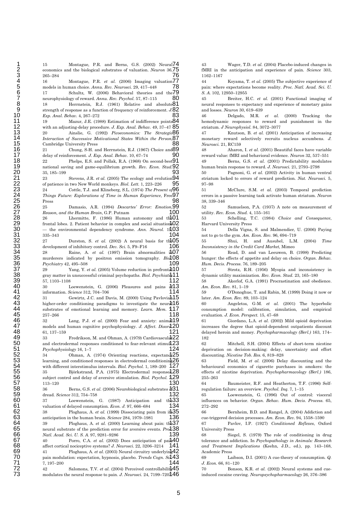15 Montague, P.R. and Berns, G.S. (2002) Neural 74 economics and the biological substrates of valuation. *Neuron* 36, 28 26 Lhermitte, F. (1986) Human autonomy and the 01 29 frontal lobes. 2. Patient behavior in complex and social situation 102 30 - the environmental dependency syndrome. Ann. Neurol. 19,0 32 27 Durston, S. *et al.* (2002) A neural basis for th**105 34** 28 Raine, A. *et al.* (1997) Brain abnormalities in 35 murderers indicated by positron emission tomography. *Bio*<sup>1</sup>. 38 *gray* matter in unsuccessful criminal psychopaths. *Biol. Psychiatr* 40 30 Loewenstein, G. (2006) Pleasures and pains dr 42 31 Gewirtz, J.C. and Davis, M. (2000) Using Pavlovian 43 higher-order conditioning paradigms to investigate the neural 44 substrates of emotional learning and memory. *Learn. Mem.* **1**,17 47 models and human cognitive psychophysiology. *J. Affect. Disord*.20 55 35 Björkstrand, P.A. (1975) Electrodermal responses. 56 subject control and delay of aversive stimulation. *Biol. Psychol.* **3**. 60 37 Loewenstein, G. (1987) Anticipation and the  $62$  38 Ploghaus, A. *et al.* (1999) Dissociating pain from it  $35$ **64** 39 Ploghaus, A. *et al.* (2000) Learning about pain: th**137** 65 *c.*  neural substrate of the prediction error for aversive events. *Pro* 138  $69$  41 Ploghaus, A. *et al.* (2003) Neural circuitry underlyin $\frac{1}{2}42$ 70 pain modulation: expectation, hypnosis, placebo. *Trends Cogn. Scl.* 76 78<br><sub>the</sub>79  $80$ 83 85 with an adjusting-delay procedure. *J. Exp. Anal. Behav.* 49, 37–47 88 90 93 95 98 100 104 106 109 112 114 118 121 124 with different interstimulus intervals. *Biol. Psychol.* 1, 189–200 127 130  $132$ <sub>th</sub>  $33$ 134 136 139 141 144 265–284 16 Montague, P.R. *et al.* (2006) Imaging valuation<sup>77</sup> models in human choice. *Annu. Rev. Neurosci.* 29, 417–448 17 Schultz, W. (2006) Behavioral theories and neurophysiology of reward. *Annu. Rev. Psychol.* 57, 87–115 18 Herrnstein, R.J. (1961) Relative and absolute 81 strength of response as a function of frequency of reinforcement. *J. Exp. Anal. Behav.* 4, 267–272 19 Mazur, J.E. (1988) Estimation of indifference points 84 20 Ainslie, G. (1992) *Picoeconomics: The Strategic*  86 *Interaction of Successive Motivational States Within the Person*, 87 Cambridge University Press 21 Chung, S-H. and Herrnstein, R.J. (1967) Choice and 89 delay of reinforcement. *J. Exp. Anal. Behav.* 10, 67–74 22 Phelps, E.S. and Pollak, R.A. (1968) On second-best 91 national saving and game-equilibrium growth. *Rev. Econ. Stud.* 35, 185–199 23 Stevens, J.R. *et al.* (2005) The ecology and evolution 94 of patience in two New World monkeys. *Biol. Lett.* 1, 223–226 24 Cottle, T.J. and Klineberg, S.L. (1974) *The Present of*  96 Things Future: Explorations of Time in Human Experience, Free<sup>97</sup> Press 25 Damasio, A.R. (1994) *Descartes' Error: Emotion,*  99 *Reason, and the Human Brain*, G.P. Putnam 335–343 development of inhibitory control. *Dev. Sci.* 5, F9–F16 *Psychiatry* 42, 495–508 29 Yang, Y. *et al.* (2005) Volume reduction in prefront**al10** 57, 1103–1108 information. *Science* 312, 704–706 257–266 32 Lang, P.J. *et al.* (2000) Fear and anxiety: animal<sup>119</sup> 61, 137–159 33 Fredrikson, M. and Ohman, A. (1979) Cardiovascular 22 182 and electrodermal responses conditioned to fear-relevant stimul.23 *Psychophysiology* 16, 1–7 34 Ohman, A. (1974) Orienting reactions, expectancy 25 learning, and conditioned responses in electrodermal conditioning 26 113–120 36 Berns, G.S. *et al.* (2006) Neurobiological substrates  $d31$ dread. *Science* 312, 754–758 valuation of delayed consumption. *Econ. J.* 97, 666–684 anticipation in the human brain. *Science* 284, 1979–1981 *Natl. Acad. Sci. U. S. A.* 97, 9281–9286 40 Porro, C.A. *et al.* (2002) Does anticipation of pain 40 affect cortical nociceptive systems? *J. Neurosci.* 22, 3206–3214 7, 197–200 107

42 Salomons, T.V. *et al.* (2004) Perceived controllabilit<sup>1</sup>/45 modulates the neural response to pain. *J. Neurosci.* 24, 7199–720 $\hat{\mathbf{3}}\mathbf{46}$ 

43 Wager, T.D. *et al.* (2004) Placebo-induced changes in fMRI in the anticipation and experience of pain. 75 *Science* 303, 1162–1167

> 44 Koyama, T. *et al.* (2005) The subjective experience of pain: where expectations become reality. *Proc. Natl. Acad. Sci. U.*  79 *S. A.* 102, 12950–12955

45 Breiter, H.C. *et al.* (2001) Functional imaging of neural responses to expectancy and experience of monetary gains and losses. 82 *Neuron* 30, 619–639

46 Delgado, M.R. *et al.* (2000) Tracking the hemodynamic responses to reward and punishment in the striatum. *J Neurophysiol.* 84, 3072–3077

47 Knutson, B. *et al.* (2001) Anticipation of increasing monetary reward selectively recruits nucleus accumbens. *J. Neurosci.* 21, RC159

48 Aharon, I. *et al.* (2001) Beautiful faces have variable reward value: fMRI and behavioral evidence. *Neuron* 32, 537–551

49 Berns, G.S. *et al.* (2001) Predictability modulates human brain response to reward. 92 *J. Neurosci.* 21, 2793–2798

> 50 Pagnoni, G. *et al.* (2002) Activity in human ventral striatum locked to errors of reward prediction. Nat. Neurosci. 5, 97–98

> 51 McClure, S.M. *et al.* (2003) Temporal prediction errors in a passive learning task activate human striatum. *Neuron* 38, 339–346

> 52 Samuelson, P.A. (1937) A note on measurement of utility. *Rev. Econ. Stud.* 4, 155–161

> 53 Schelling, T.C. (1984) *Choice and Consequence*, Harvard University Press

> 103 54 Della Vigna, S. and Malmendier, U. (2006) Paying not to go to the gym. *Am. Econ. Rev.* 96, 694–719

> 55 Shui, H. and Ausubel, L.M. (2004) *Time Inconsistency in the Credit Card Market*, Mimeo

56 Read, D. and van Leeuwen, B. (1998) Predicting hunger: the effects of appetite and delay on choice 108 . *Organ. Behav. Hum. Decis. Process.* 76, 189–205

57 Strotz, R.H. (1956) Myopia and inconsistency in dynamic utility maximization. 111 *Rev. Econ. Stud.* 23, 165–180

58 Akerlof, G.A. (1991) Procrastination and obedience. 113 *Am. Econ. Rev.* 81, 1–19

59 O'Donoghue, T. and Rabin, M. (1999) Doing it now or later. *Am. Econ. Rev.* 89, 103-124

116 60 Angeletos, G-M. *et al.* (2001) The hyperbolic consumption model: calibration, simulation, and empirical evaluation. *J. Econ. Perspect.* 15, 47–68

61 Giordano, L.A. *et al.* (2002) Mild opioid deprivation increases the degree that opioid-dependent outpatients discount delayed heroin and money. *Psychopharmacology (Berl.)* 163, 174–

123 62 Mitchell, S.H. (2004) Effects of short-term nicotine deprivation on decision-making: delay, uncertainty and effort discounting. *Nicotine Tob. Res.* 6, 819-828

126 63 Field, M. *et al.* (2006) Delay discounting and the behavioural economics of cigarette purchases in smokers: the 128 effects of nicotine deprivation. *Psychopharmacology (Berl.)* 186, 255–263

64 Baumeister, R.F. and Heatherton, T.F. (1996) Self-131 regulation failure: an overview. *Psychol. Inq.* 7, 1–15

 65 Loewenstein, G. (1996) Out of control: visceral 133 influences on behavior. *Organ. Behav. Hum. Decis. Process.* 65, 272–292

66 Bernheim, B.D. and Rangel, A. (2004) Addiction and cue-triggered decision processes. *Am. Econ. Rev.* 94, 1558–1590

67 Pavlov, I.P. (1927) *Conditioned Reflexes*, Oxford University Press

68 Siegel, S. (1979) The role of conditioning in drug tolerance and addiction. In *Psychopathology in Animals: Research and Treatment Implications* (Keehn, J.D., ed.), pp. 143–168, Academic Press

143 69 Laibson, D.I. (2001) A cue-theory of consumption. *Q. J. Econ.* 66, 81–120

70 Bonson, K.R. *et al.* (2002) Neural systems and cueinduced cocaine craving. *Neuropsychopharmacology* 26, 376–386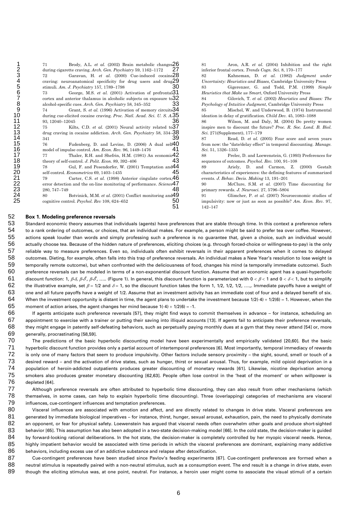| )<br>1<br>1                  |
|------------------------------|
|                              |
|                              |
|                              |
|                              |
|                              |
|                              |
| 4567890                      |
|                              |
|                              |
|                              |
|                              |
|                              |
| 11111111<br>234567<br>567890 |
|                              |
|                              |
|                              |
|                              |
|                              |
|                              |
|                              |
|                              |
|                              |
|                              |

71 Brody, A.L. *et al.* (2002) Brain metabolic changes during cigarette craving. *Arch. Gen. Psychiatry* 59, 1162–1172 27 30 33 36 39 41 43 45 48 50 51 72 Garavan, H. *et al.* (2000) Cue-induced cocaine 28 craving: neuroanatomical specificity for drug users and drug $29$ stimuli. *Am. J. Psychiatry* 157, 1789–1798 73 George, M.S. *et al.* (2001) Activation of prefrontal **31** Heuristics that Make us Smart, Oxford University Press cortex and anterior thalamus in alcoholic subjects on exposure to 32 alcohol-specific cues. *Arch. Gen. Psychiatry* 58, 345–352 74 Grant, S. *et al.* (1996) Activation of memory circuits 34 during cue-elicited cocaine craving. *Proc. Natl. Acad. Sci. U. S. A.* 35 93, 12040–12045 75 Kilts, C.D. *et al.* (2001) Neural activity related to 37 drug craving in cocaine addiction. *Arch. Gen. Psychiatry* 58, 334– 341 76 Fudenberg, D. and Levine, D. (2006) A dual self<sup>40</sup> model of impulse control. *Am. Econ. Rev.* 96, 1449–1476 77 Thaler, R.H. and Shefrin, H.M. (1981) An economic<sup>42</sup> theory of self-control. *J. Polit. Econ.* 89, 392–406 78 Gul, F. and Pesendorfer, W. (2001) Temptation and self-control. *Econometrica* 69, 1403–1435 79 Carter, C.S. *et al.* (1998) Anterior cingulate cortex, **46** events. error detection and the on-line monitoring of performance. *Science* 47 280, 747–749 80 Botvinick, M.M. *et al.* (2001) Conflict monitoring and **49** cognitive control. *Psychol. Rev* 108, 624–652

26 81 Aron, A.R. *et al.* (2004) Inhibition and the right inferior frontal cortex. *Trends Cogn. Sci.* 8, 170–177 82 Kahneman, D. *et al.* (1982) *Judgment under Uncertainty: Heuristics and Biases*, Cambridge University Press 83 Gigerenzer, G. and Todd, P.M. (1999) *Simple*  32 84 Gilovich, T. *et al.* (2002) *Heuristics and Biases: The Psychology of Intuitive Judgment*, Cambridge University Press 85 Mischel, W. and Underwood, B. (1974) Instrumental ideation in delay of gratification. *Child Dev.* 45, 1083–1088 86 Wilson, M. and Daly, M. (2004) Do pretty women inspire men to discount the future? *Proc. R. Soc. Lond. B. Biol. Sci.* 38 271(Supplement), 177–179 87 Read, D. *et al.* (2005) Four score and seven years from now: the "date/delay effect" in temporal discounting. *Manage. Sci.* 51, 1326–1335 42 88 Prelec, D. and Loewenstein, G. (1993) Preferences for sequences of outcomes. *Psychol. Rev.* 100, 91–108 44 89 Ariely, D. and Carmon, Z. (2000) Gestalt characteristics of experiences: the defining features of summarized *J. Behav. Decis. Making* 13, 191–201 90 McClure, S.M. *et al.* (2007) Time discounting for primary rewards. *J. Neurosci.* 27, 5796–5804 49 91 Glimcher, P. *et al.* (2007) Neuroeconomic studies of impulsivity: now or just as soon as possible? *Am. Econ. Rev.* 97, 142–147

#### 52 **Box 1. Modeling preference reversals**

53 54 55 56 57 58 59 60 61 62 63 64 65 Standard economic theory assumes that individuals (agents) have preferences that are stable through time. In this context a preference refers to a rank ordering of outcomes, or choices, that an individual makes. For example, a person might be said to prefer tea over coffee. However, actions speak louder than words and simply professing such a preference is no guarantee that, given a choice, such an individual would actually choose tea. Because of the hidden nature of preferences, eliciting choices (e.g. through forced-choice or willingness-to-pay) is the only reliable way to measure preferences. Even so, individuals often exhibit reversals in their apparent preferences when it comes to delayed outcomes. Dieting, for example, often falls into this trap of preference reversals. An individual makes a New Year's resolution to lose weight (a temporally remote outcome), but when confronted with the deliciousness of food, changes his mind (a temporally immediate outcome). Such preference reversals can be modeled in terms of a non-exponential discount function. Assume that an economic agent has a quasi-hyperbolic discount function: 1, *β·δ, β·δ<sup>ª</sup>, β·δ<sup>3</sup>, …..* (Figure 1). In general, this discount function is parameterized with 0 < *β* < 1 and 0 < *δ* < 1, but to simplify the illustrative example, set  $\beta$  = 1/2 and  $\delta$  = 1, so the discount function takes the form 1, 1/2, 1/2, 1/2, ...,. Immediate payoffs have a weight of one and all future payoffs have a weight of 1/2. Assume that an investment activity has an immediate cost of four and a delayed benefit of six. When the investment opportunity is distant in time, the agent plans to undertake the investment because  $1/2(-4) + 1/2(6) = 1$ . However, when the moment of action arises, the agent changes her mind because  $1(-4) + 1/2(6) = -1$ .

66 67 68 69 If agents anticipate such preference reversals [57], they might find ways to commit themselves in advance – for instance, scheduling an appointment to exercise with a trainer or putting their saving into illiquid accounts [13]. If agents fail to anticipate their preference reversals, they might engage in patently self-defeating behaviors, such as perpetually paying monthly dues at a gym that they never attend [54] or, more generally, procrastinating [58,59].

70 71 72 73 74 75 76 The predictions of the basic hyperbolic discounting model have been experimentally and empirically validated [20,60]. But the basic hyperbolic discount function provides only a partial account of intertemporal preferences [6]. Most importantly, temporal immediacy of rewards is only one of many factors that seem to produce impulsivity. Other factors include sensory proximity – the sight, sound, smell or touch of a desired reward – and the activation of drive states, such as hunger, thirst or sexual arousal. Thus, for example, mild opioid deprivation in a population of heroin-addicted outpatients produces greater discounting of monetary rewards [61]. Likewise, nicotine deprivation among smokers also produces greater monetary discounting [62,63]. People often lose control in the 'heat of the moment' or when willpower is depleted [64].

77 78 79 Although preference reversals are often attributed to hyperbolic time discounting, they can also result from other mechanisms (which themselves, in some cases, can help to explain hyperbolic time discounting). Three (overlapping) categories of mechanisms are visceral influences, cue-contingent influences and temptation preferences.

80 81 82 83 84 85 86 Visceral influences are associated with emotion and affect, and are directly related to changes in drive state. Visceral preferences are generated by immediate biological imperatives – for instance, thirst, hunger, sexual arousal, exhaustion, pain, the need to physically dominate an opponent, or fear for physical safety. Loewenstein has argued that visceral needs often overwhelm other goals and produce short-sighted behavior [65]. This assumption has also been adopted in a two-state decision-making model [66]. In the cold state, the decision-maker is guided by forward-looking rational deliberations. In the hot state, the decision-maker is completely controlled by her myopic visceral needs. Hence, highly impatient behavior would be associated with time periods in which the visceral preferences are dominant, explaining many addictive behaviors, including excess use of an addictive substance and relapse after detoxification.

87 88 89 Cue-contingent preferences have been studied since Pavlov's feeding experiments [67]. Cue-contingent preferences are formed when a neutral stimulus is repeatedly paired with a non-neutral stimulus, such as a consumption event. The end result is a change in drive state, even though the eliciting stimulus was, at one point, neutral. For instance, a heroin user might come to associate the visual stimuli of a certain